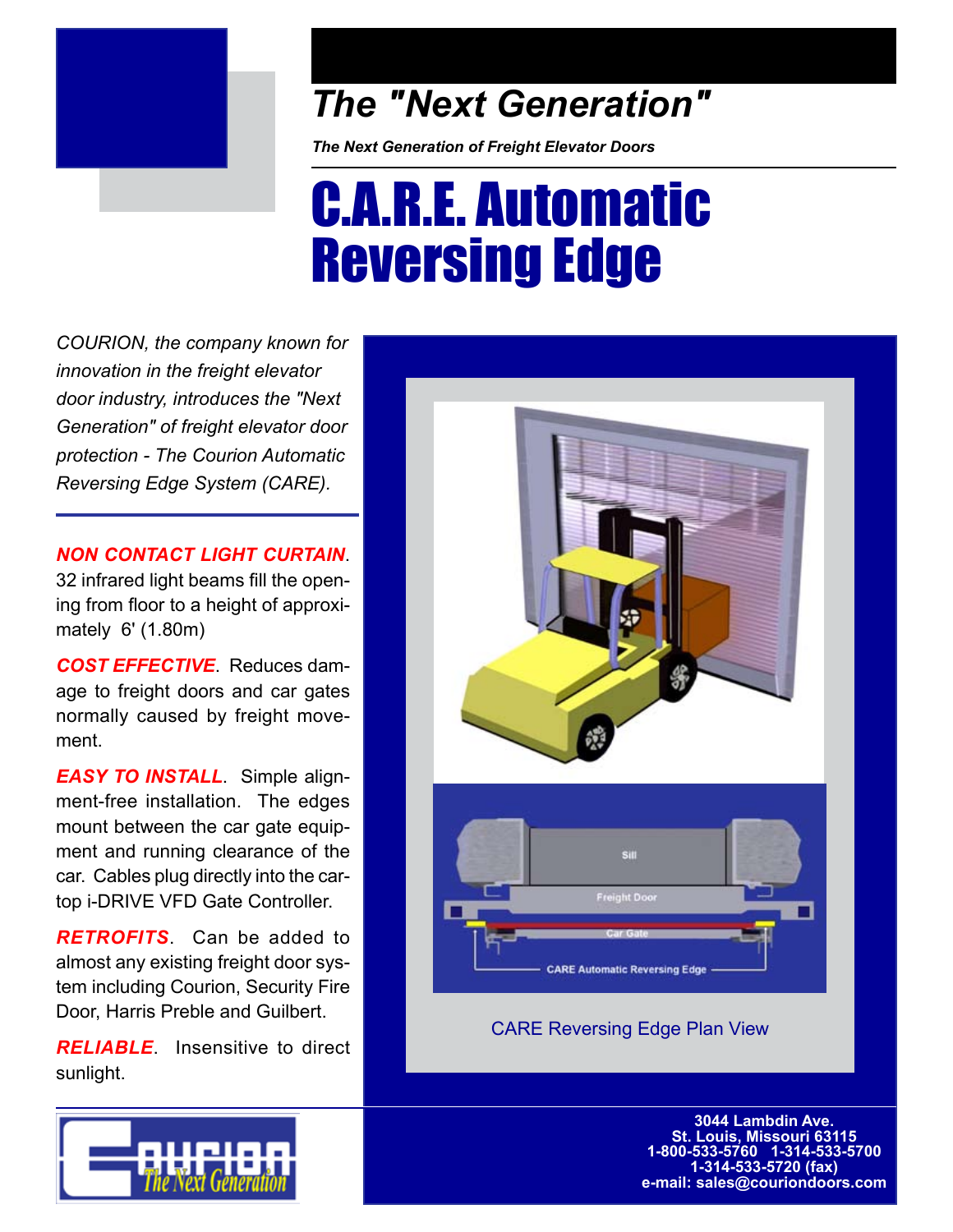

## *The "Next Generation"*

*The Next Generation of Freight Elevator Doors*

# C.A.R.E. Automatic Reversing Edge

*COURION, the company known for innovation in the freight elevator door industry, introduces the "Next Generation" of freight elevator door protection - The Courion Automatic Reversing Edge System (CARE).*

*NON CONTACT LIGHT CURTAIN*. 32 infrared light beams fill the opening from floor to a height of approximately 6' (1.80m)

*COST EFFECTIVE*. Reduces damage to freight doors and car gates normally caused by freight movement.

*EASY TO INSTALL*. Simple alignment-free installation. The edges mount between the car gate equipment and running clearance of the car. Cables plug directly into the cartop i-DRIVE VFD Gate Controller.

*RETROFITS*. Can be added to almost any existing freight door system including Courion, Security Fire Door, Harris Preble and Guilbert.

*RELIABLE*. Insensitive to direct sunlight.



CARE Reversing Edge Plan View

**3044 Lambdin Ave. St. Louis, Missouri 63115 1-800-533-5760 1-314-533-5700 1-314-533-5720 (fax) e-mail: sales@couriondoors.com**